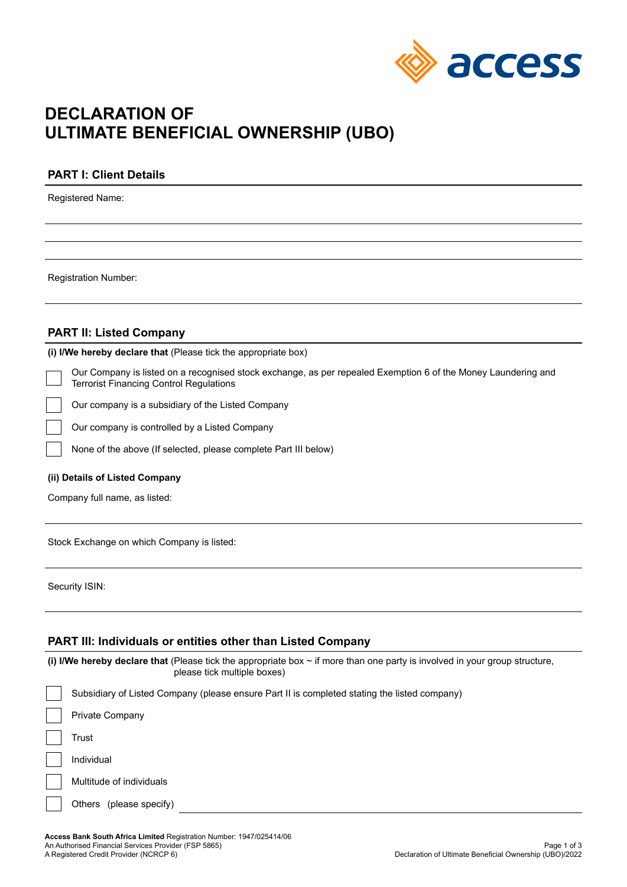

# **DECLARATION OF ULTIMATE BENEFICIAL OWNERSHIP (UBO)**

# **PART I: Client Details**

Registered Name:

Registration Number:

# **PART II: Listed Company**

**(i) I/We hereby declare that** (Please tick the appropriate box)

Our Company is listed on a recognised stock exchange, as per repealed Exemption 6 of the Money Laundering and Terrorist Financing Control Regulations

Our company is a subsidiary of the Listed Company

Our company is controlled by a Listed Company

None of the above (If selected, please complete Part III below)

#### **(ii) Details of Listed Company**

Company full name, as listed:

Stock Exchange on which Company is listed:

Security ISIN:

## **PART III: Individuals or entities other than Listed Company**

**(i) I/We hereby declare that** (Please tick the appropriate box ~ if more than one party is involved in your group structure, please tick multiple boxes) Subsidiary of Listed Company (please ensure Part II is completed stating the listed company) Private Company **Trust** Individual Multitude of individuals Others (please specify)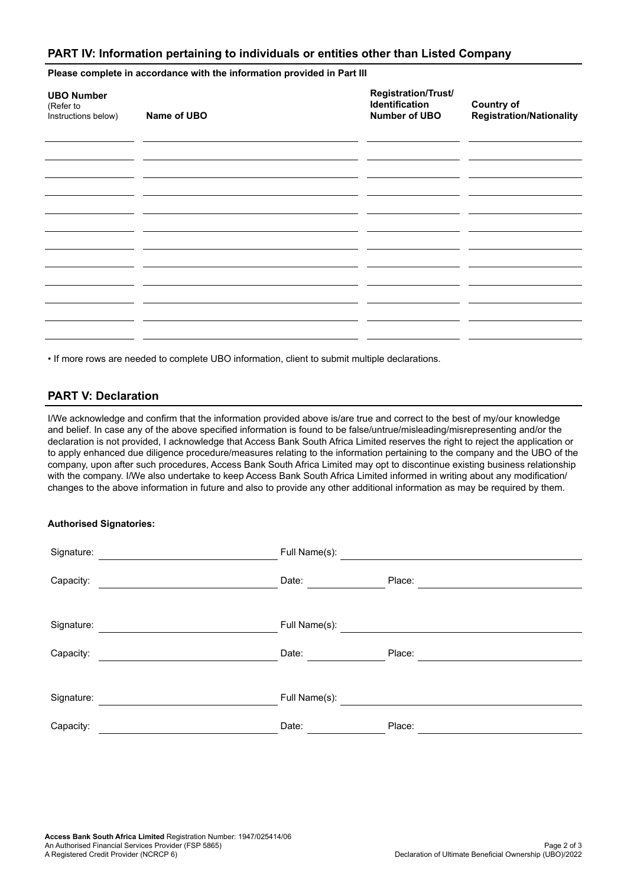## **PART IV: Information pertaining to individuals or entities other than Listed Company**

**Please complete in accordance with the information provided in Part III**

| <b>UBO Number</b><br>(Refer to<br>Instructions below) | Name of UBO | Registration/Trust/<br>Identification<br>Number of UBO | <b>Country of</b><br><b>Registration/Nationality</b> |
|-------------------------------------------------------|-------------|--------------------------------------------------------|------------------------------------------------------|
|                                                       |             |                                                        |                                                      |
|                                                       |             |                                                        |                                                      |
|                                                       |             |                                                        |                                                      |
|                                                       |             |                                                        |                                                      |
|                                                       |             |                                                        |                                                      |

• If more rows are needed to complete UBO information, client to submit multiple declarations.

# **PART V: Declaration**

I/We acknowledge and confirm that the information provided above is/are true and correct to the best of my/our knowledge and belief. In case any of the above specified information is found to be false/untrue/misleading/misrepresenting and/or the declaration is not provided, I acknowledge that Access Bank South Africa Limited reserves the right to reject the application or to apply enhanced due diligence procedure/measures relating to the information pertaining to the company and the UBO of the company, upon after such procedures, Access Bank South Africa Limited may opt to discontinue existing business relationship with the company. I/We also undertake to keep Access Bank South Africa Limited informed in writing about any modification/ changes to the above information in future and also to provide any other additional information as may be required by them.

## **Authorised Signatories:**

| Signature: | Full Name(s): |        |
|------------|---------------|--------|
| Capacity:  | Date:         | Place: |
| Signature: | Full Name(s): |        |
| Capacity:  | Date:         | Place: |
| Signature: | Full Name(s): |        |
| Capacity:  | Date:         | Place: |